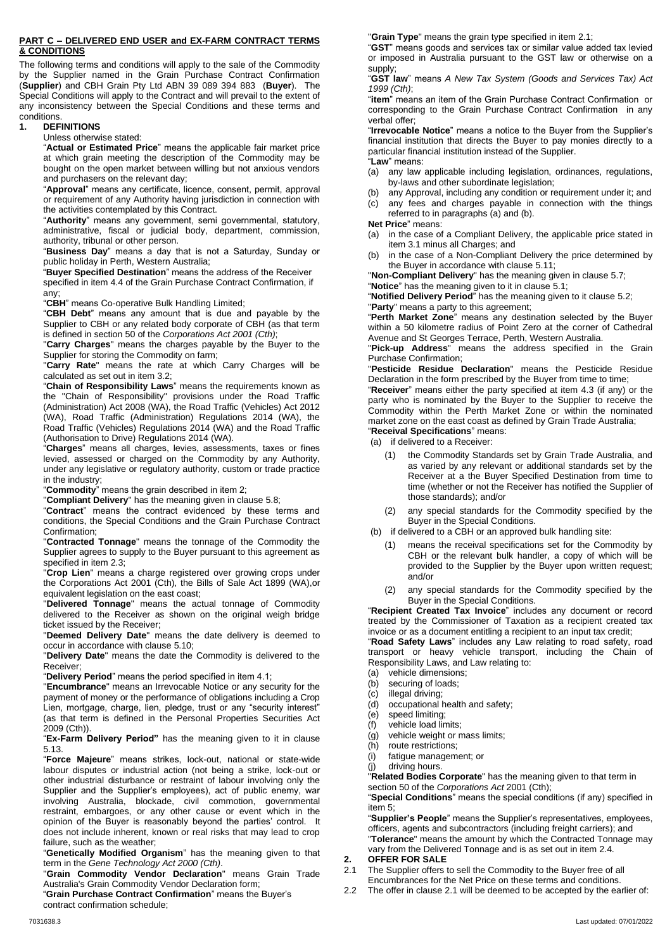#### **PART C – DELIVERED END USER and EX-FARM CONTRACT TERMS & CONDITIONS**

The following terms and conditions will apply to the sale of the Commodity by the Supplier named in the Grain Purchase Contract Confirmation (**Supplier**) and CBH Grain Pty Ltd ABN 39 089 394 883 (**Buyer**). The Special Conditions will apply to the Contract and will prevail to the extent of any inconsistency between the Special Conditions and these terms and conditions.

## **1. DEFINITIONS**

#### Unless otherwise stated:

"**Actual or Estimated Price**" means the applicable fair market price at which grain meeting the description of the Commodity may be bought on the open market between willing but not anxious vendors and purchasers on the relevant day;

"**Approval**" means any certificate, licence, consent, permit, approval or requirement of any Authority having jurisdiction in connection with the activities contemplated by this Contract.

"**Authority**" means any government, semi governmental, statutory, administrative, fiscal or judicial body, department, commission, authority, tribunal or other person.

"**Business Day**" means a day that is not a Saturday, Sunday or public holiday in Perth, Western Australia;

"**Buyer Specified Destination**" means the address of the Receiver specified in item 4.4 of the Grain Purchase Contract Confirmation, if any;

"**CBH**" means Co-operative Bulk Handling Limited;

"**CBH Debt**" means any amount that is due and payable by the Supplier to CBH or any related body corporate of CBH (as that term is defined in section 50 of the *Corporations Act 2001 (Cth)*;

"**Carry Charges**" means the charges payable by the Buyer to the Supplier for storing the Commodity on farm;

"**Carry Rate**" means the rate at which Carry Charges will be calculated as set out in item 3.2;

"**Chain of Responsibility Laws**" means the requirements known as the "Chain of Responsibility" provisions under the Road Traffic (Administration) Act 2008 (WA), the Road Traffic (Vehicles) Act 2012 (WA), Road Traffic (Administration) Regulations 2014 (WA), the Road Traffic (Vehicles) Regulations 2014 (WA) and the Road Traffic (Authorisation to Drive) Regulations 2014 (WA).

"**Charges**" means all charges, levies, assessments, taxes or fines levied, assessed or charged on the Commodity by any Authority, under any legislative or regulatory authority, custom or trade practice in the industry;

"**Commodity**" means the grain described in item 2;

"**Compliant Delivery**" has the meaning given in claus[e 5.8;](#page-1-0)

"**Contract**" means the contract evidenced by these terms and conditions, the Special Conditions and the Grain Purchase Contract Confirmation;

"**Contracted Tonnage**" means the tonnage of the Commodity the Supplier agrees to supply to the Buyer pursuant to this agreement as specified in item 2.3;

"**Crop Lien**" means a charge registered over growing crops under the Corporations Act 2001 (Cth), the Bills of Sale Act 1899 (WA),or equivalent legislation on the east coast;

"**Delivered Tonnage**" means the actual tonnage of Commodity delivered to the Receiver as shown on the original weigh bridge ticket issued by the Receiver;

"**Deemed Delivery Date**" means the date delivery is deemed to occur in accordance with clause [5.10;](#page-1-1)

"**Delivery Date**" means the date the Commodity is delivered to the Receiver;

"**Delivery Period**" means the period specified in item 4.1;

"**Encumbrance**" means an Irrevocable Notice or any security for the payment of money or the performance of obligations including a Crop Lien, mortgage, charge, lien, pledge, trust or any "security interest" (as that term is defined in the Personal Properties Securities Act 2009 (Cth)).

"**Ex-Farm Delivery Period"** has the meaning given to it in clause [5.13.](#page-1-2)

"**Force Majeure**" means strikes, lock-out, national or state-wide labour disputes or industrial action (not being a strike, lock-out or other industrial disturbance or restraint of labour involving only the Supplier and the Supplier's employees), act of public enemy, war involving Australia, blockade, civil commotion, governmental restraint, embargoes, or any other cause or event which in the opinion of the Buyer is reasonably beyond the parties' control. It does not include inherent, known or real risks that may lead to crop failure, such as the weather;

"**Genetically Modified Organism**" has the meaning given to that term in the *Gene Technology Act 2000 (Cth)*.

"**Grain Commodity Vendor Declaration**" means Grain Trade Australia's Grain Commodity Vendor Declaration form;

"**Grain Purchase Contract Confirmation**" means the Buyer's contract confirmation schedule;

"**Grain Type**" means the grain type specified in item 2.1;

"**GST**" means goods and services tax or similar value added tax levied or imposed in Australia pursuant to the GST law or otherwise on a supply;

"**GST law**" means *A New Tax System (Goods and Services Tax) Act 1999 (Cth)*;

"**item**" means an item of the Grain Purchase Contract Confirmation or corresponding to the Grain Purchase Contract Confirmation in any verbal offer;

"**Irrevocable Notice**" means a notice to the Buyer from the Supplier's financial institution that directs the Buyer to pay monies directly to a particular financial institution instead of the Supplier. "**Law**" means:

- (a) any law applicable including legislation, ordinances, regulations, by-laws and other subordinate legislation;
- (b) any Approval, including any condition or requirement under it; and (c) any fees and charges payable in connection with the things
- referred to in paragraphs (a) and (b). **Net Price**" means:
- (a) in the case of a Compliant Delivery, the applicable price stated in item 3.1 minus all Charges; and
- in the case of a Non-Compliant Delivery the price determined by the Buyer in accordance with claus[e 5.11;](#page-1-3)

"**Non-Compliant Delivery**" has the meaning given in claus[e 5.7;](#page-1-4)

"**Notice**" has the meaning given to it in claus[e 5.1;](#page-1-5)

"**Notified Delivery Period**" has the meaning given to it claus[e 5.2;](#page-1-6)

"**Party**" means a party to this agreement; "**Perth Market Zone**" means any destination selected by the Buyer

within a 50 kilometre radius of Point Zero at the corner of Cathedral Avenue and St Georges Terrace, Perth, Western Australia.

"**Pick-up Address**" means the address specified in the Grain Purchase Confirmation;

"**Pesticide Residue Declaration**" means the Pesticide Residue Declaration in the form prescribed by the Buyer from time to time;

"**Receiver**" means either the party specified at item 4.3 (if any) or the party who is nominated by the Buyer to the Supplier to receive the Commodity within the Perth Market Zone or within the nominated market zone on the east coast as defined by Grain Trade Australia;

- "**Receival Specifications**" means:
- (a) if delivered to a Receiver:
	- (1) the Commodity Standards set by Grain Trade Australia, and as varied by any relevant or additional standards set by the Receiver at a the Buyer Specified Destination from time to time (whether or not the Receiver has notified the Supplier of those standards); and/or
	- (2) any special standards for the Commodity specified by the Buyer in the Special Conditions.
- (b) if delivered to a CBH or an approved bulk handling site:
	- (1) means the receival specifications set for the Commodity by CBH or the relevant bulk handler, a copy of which will be provided to the Supplier by the Buyer upon written request; and/or
	- (2) any special standards for the Commodity specified by the Buyer in the Special Conditions.

"**Recipient Created Tax Invoice**" includes any document or record treated by the Commissioner of Taxation as a recipient created tax invoice or as a document entitling a recipient to an input tax credit; "**Road Safety Laws**" includes any Law relating to road safety, road transport or heavy vehicle transport, including the Chain of Responsibility Laws, and Law relating to:

- 
- (a) vehicle dimensions;<br>(b) securing of loads; securing of loads;
- (c) illegal driving;
- (d) occupational health and safety;
- (e) speed limiting;
- (f) vehicle load limits;
- (g) vehicle weight or mass limits;
- (h) route restrictions;<br>(i) fatigue managem
- fatigue management; or
- (j) driving hours.

"**Related Bodies Corporate**" has the meaning given to that term in section 50 of the *Corporations Act* 2001 (Cth);

"**Special Conditions**" means the special conditions (if any) specified in item 5;

"**Supplier's People**" means the Supplier's representatives, employees, officers, agents and subcontractors (including freight carriers); and "**Tolerance**" means the amount by which the Contracted Tonnage may vary from the Delivered Tonnage and is as set out in item 2.4.

<span id="page-0-0"></span>**2. OFFER FOR SALE** The Supplier offers to sell the Commodity to the Buyer free of all Encumbrances for the Net Price on these terms and conditions.

2.2 The offer in clause [2.1](#page-0-0) will be deemed to be accepted by the earlier of: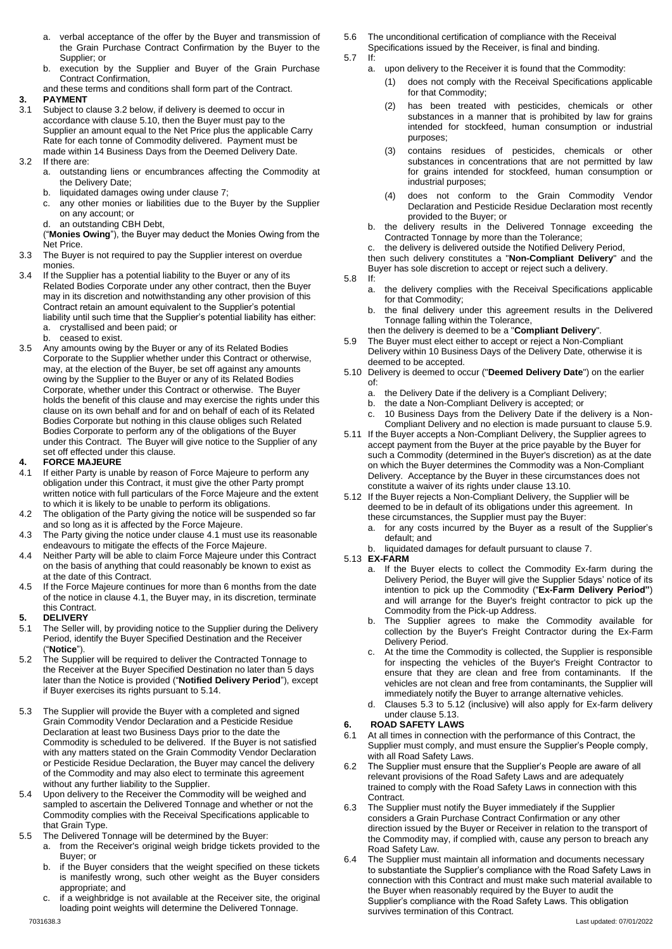- a. verbal acceptance of the offer by the Buyer and transmission of the Grain Purchase Contract Confirmation by the Buyer to the Supplier; or
- b. execution by the Supplier and Buyer of the Grain Purchase Contract Confirmation,
- and these terms and conditions shall form part of the Contract.

# **3. PAYMENT**

- 3.1 Subject to claus[e 3.2](#page-1-7) below, if delivery is deemed to occur in accordance with claus[e 5.10,](#page-1-1) then the Buyer must pay to the Supplier an amount equal to the Net Price plus the applicable Carry Rate for each tonne of Commodity delivered. Payment must be made within 14 Business Days from the Deemed Delivery Date.
- <span id="page-1-7"></span>3.2 If there are:
	- a. outstanding liens or encumbrances affecting the Commodity at the Delivery Date;
	- b. liquidated damages owing under clause [7;](#page-2-0)
	- c. any other monies or liabilities due to the Buyer by the Supplier on any account; or
	- an outstanding CBH Debt,
	- ("**Monies Owing**"), the Buyer may deduct the Monies Owing from the Net Price.
- 3.3 The Buyer is not required to pay the Supplier interest on overdue monies.
- 3.4 If the Supplier has a potential liability to the Buyer or any of its Related Bodies Corporate under any other contract, then the Buyer may in its discretion and notwithstanding any other provision of this Contract retain an amount equivalent to the Supplier's potential liability until such time that the Supplier's potential liability has either: a. crystallised and been paid; or
	- b. ceased to exist.
- 3.5 Any amounts owing by the Buyer or any of its Related Bodies Corporate to the Supplier whether under this Contract or otherwise, may, at the election of the Buyer, be set off against any amounts owing by the Supplier to the Buyer or any of its Related Bodies Corporate, whether under this Contract or otherwise. The Buyer holds the benefit of this clause and may exercise the rights under this clause on its own behalf and for and on behalf of each of its Related Bodies Corporate but nothing in this clause obliges such Related Bodies Corporate to perform any of the obligations of the Buyer under this Contract. The Buyer will give notice to the Supplier of any set off effected under this clause.

# **4. FORCE MAJEURE**

- <span id="page-1-8"></span>If either Party is unable by reason of Force Majeure to perform any obligation under this Contract, it must give the other Party prompt written notice with full particulars of the Force Majeure and the extent to which it is likely to be unable to perform its obligations.
- 4.2 The obligation of the Party giving the notice will be suspended so far and so long as it is affected by the Force Majeure.
- 4.3 The Party giving the notice under claus[e 4.1](#page-1-8) must use its reasonable endeavours to mitigate the effects of the Force Majeure.
- 4.4 Neither Party will be able to claim Force Majeure under this Contract on the basis of anything that could reasonably be known to exist as at the date of this Contract.
- 4.5 If the Force Majeure continues for more than 6 months from the date of the notice in clause [4.1,](#page-1-8) the Buyer may, in its discretion, terminate this Contract.
- **5. DELIVERY**
- <span id="page-1-5"></span>5.1 The Seller will, by providing notice to the Supplier during the Delivery Period, identify the Buyer Specified Destination and the Receiver ("**Notice**").
- <span id="page-1-6"></span>5.2 The Supplier will be required to deliver the Contracted Tonnage to the Receiver at the Buyer Specified Destination no later than 5 days later than the Notice is provided ("**Notified Delivery Period**"), except if Buyer exercises its rights pursuant to 5.14.
- <span id="page-1-10"></span>5.3 The Supplier will provide the Buyer with a completed and signed Grain Commodity Vendor Declaration and a Pesticide Residue Declaration at least two Business Days prior to the date the Commodity is scheduled to be delivered. If the Buyer is not satisfied with any matters stated on the Grain Commodity Vendor Declaration or Pesticide Residue Declaration, the Buyer may cancel the delivery of the Commodity and may also elect to terminate this agreement without any further liability to the Supplier.
- 5.4 Upon delivery to the Receiver the Commodity will be weighed and sampled to ascertain the Delivered Tonnage and whether or not the Commodity complies with the Receival Specifications applicable to that Grain Type.
- 5.5 The Delivered Tonnage will be determined by the Buyer:
	- a. from the Receiver's original weigh bridge tickets provided to the Buyer; or
		- b. if the Buyer considers that the weight specified on these tickets is manifestly wrong, such other weight as the Buyer considers appropriate; and
		- c. if a weighbridge is not available at the Receiver site, the original loading point weights will determine the Delivered Tonnage.
- 5.6 The unconditional certification of compliance with the Receival
	- Specifications issued by the Receiver, is final and binding.<br>If:
- <span id="page-1-4"></span> $5.7$ 
	- a. upon delivery to the Receiver it is found that the Commodity:
		- (1) does not comply with the Receival Specifications applicable for that Commodity;
		- (2) has been treated with pesticides, chemicals or other substances in a manner that is prohibited by law for grains intended for stockfeed, human consumption or industrial purposes;
		- (3) contains residues of pesticides, chemicals or other substances in concentrations that are not permitted by law for grains intended for stockfeed, human consumption or industrial purposes;
		- (4) does not conform to the Grain Commodity Vendor Declaration and Pesticide Residue Declaration most recently provided to the Buyer; or
	- b. the delivery results in the Delivered Tonnage exceeding the Contracted Tonnage by more than the Tolerance;
	- c. the delivery is delivered outside the Notified Delivery Period,

then such delivery constitutes a "**Non-Compliant Delivery**" and the Buyer has sole discretion to accept or reject such a delivery.

- <span id="page-1-0"></span>5.8 If:
	- a. the delivery complies with the Receival Specifications applicable for that Commodity;
	- b. the final delivery under this agreement results in the Delivered Tonnage falling within the Tolerance,
	- then the delivery is deemed to be a "**Compliant Delivery**".
- <span id="page-1-9"></span>5.9 The Buyer must elect either to accept or reject a Non-Compliant Delivery within 10 Business Days of the Delivery Date, otherwise it is deemed to be accepted.
- <span id="page-1-1"></span>5.10 Delivery is deemed to occur ("**Deemed Delivery Date**") on the earlier of:
	- a. the Delivery Date if the delivery is a Compliant Delivery;
	- b. the date a Non-Compliant Delivery is accepted; or
	- c. 10 Business Days from the Delivery Date if the delivery is a Non-Compliant Delivery and no election is made pursuant to clause [5.9.](#page-1-9)
- <span id="page-1-3"></span>5.11 If the Buyer accepts a Non-Compliant Delivery, the Supplier agrees to accept payment from the Buyer at the price payable by the Buyer for such a Commodity (determined in the Buyer's discretion) as at the date on which the Buyer determines the Commodity was a Non-Compliant Delivery. Acceptance by the Buyer in these circumstances does not constitute a waiver of its rights under claus[e 13.10.](#page-3-0)
- <span id="page-1-11"></span>5.12 If the Buyer rejects a Non-Compliant Delivery, the Supplier will be deemed to be in default of its obligations under this agreement. In these circumstances, the Supplier must pay the Buyer:
	- a. for any costs incurred by the Buyer as a result of the Supplier's default; and
	- b. liquidated damages for default pursuant to clause [7.](#page-2-0)
- <span id="page-1-2"></span>5.13 **EX-FARM**
	- a. If the Buyer elects to collect the Commodity Ex-farm during the Delivery Period, the Buyer will give the Supplier 5days' notice of its intention to pick up the Commodity ("**Ex-Farm Delivery Period"**) and will arrange for the Buyer's freight contractor to pick up the Commodity from the Pick-up Address.
	- b. The Supplier agrees to make the Commodity available for collection by the Buyer's Freight Contractor during the Ex-Farm Delivery Period.
	- c. At the time the Commodity is collected, the Supplier is responsible for inspecting the vehicles of the Buyer's Freight Contractor to ensure that they are clean and free from contaminants. If the vehicles are not clean and free from contaminants, the Supplier will immediately notify the Buyer to arrange alternative vehicles.
	- d. Clauses [5.3](#page-1-10) to [5.12](#page-1-11) (inclusive) will also apply for Ex-farm delivery under clause [5.13.](#page-1-2)

# <span id="page-1-12"></span>**6. ROAD SAFETY LAWS**

- 6.1 At all times in connection with the performance of this Contract, the Supplier must comply, and must ensure the Supplier's People comply, with all Road Safety Laws.
- 6.2 The Supplier must ensure that the Supplier's People are aware of all relevant provisions of the Road Safety Laws and are adequately trained to comply with the Road Safety Laws in connection with this Contract.
- 6.3 The Supplier must notify the Buyer immediately if the Supplier considers a Grain Purchase Contract Confirmation or any other direction issued by the Buyer or Receiver in relation to the transport of the Commodity may, if complied with, cause any person to breach any Road Safety Law.
- 7031638.3 Last updated: 07/01/2022 6.4 The Supplier must maintain all information and documents necessary to substantiate the Supplier's compliance with the Road Safety Laws in connection with this Contract and must make such material available to the Buyer when reasonably required by the Buyer to audit the Supplier's compliance with the Road Safety Laws. This obligation survives termination of this Contract.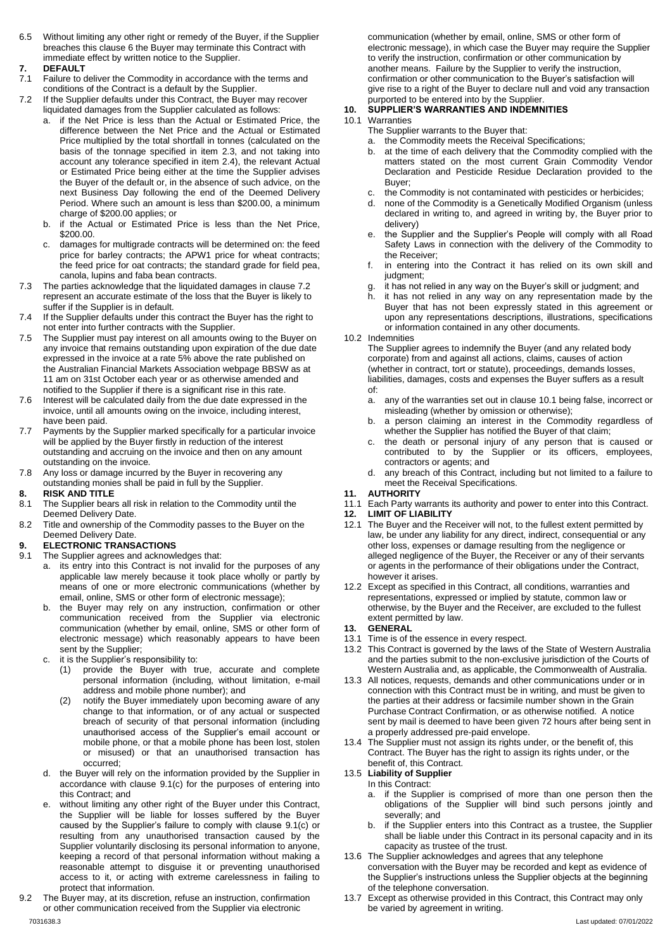6.5 Without limiting any other right or remedy of the Buyer, if the Supplier breaches this claus[e 6](#page-1-12) the Buyer may terminate this Contract with immediate effect by written notice to the Supplier.

#### <span id="page-2-0"></span>**7. DEFAULT**

- 7.1 Failure to deliver the Commodity in accordance with the terms and conditions of the Contract is a default by the Supplier.
- <span id="page-2-1"></span>7.2 If the Supplier defaults under this Contract, the Buyer may recover liquidated damages from the Supplier calculated as follows:
	- if the Net Price is less than the Actual or Estimated Price, the difference between the Net Price and the Actual or Estimated Price multiplied by the total shortfall in tonnes (calculated on the basis of the tonnage specified in item 2.3, and not taking into account any tolerance specified in item 2.4), the relevant Actual or Estimated Price being either at the time the Supplier advises the Buyer of the default or, in the absence of such advice, on the next Business Day following the end of the Deemed Delivery Period. Where such an amount is less than \$200.00, a minimum charge of \$200.00 applies; or
	- b. if the Actual or Estimated Price is less than the Net Price, \$200.00.
	- c. damages for multigrade contracts will be determined on: the feed price for barley contracts; the APW1 price for wheat contracts; the feed price for oat contracts; the standard grade for field pea, canola, lupins and faba bean contracts.
- 7.3 The parties acknowledge that the liquidated damages in claus[e 7.2](#page-2-1) represent an accurate estimate of the loss that the Buyer is likely to suffer if the Supplier is in default.
- 7.4 If the Supplier defaults under this contract the Buyer has the right to not enter into further contracts with the Supplier.
- 7.5 The Supplier must pay interest on all amounts owing to the Buyer on any invoice that remains outstanding upon expiration of the due date expressed in the invoice at a rate 5% above the rate published on the Australian Financial Markets Association webpage BBSW as at 11 am on 31st October each year or as otherwise amended and notified to the Supplier if there is a significant rise in this rate.
- 7.6 Interest will be calculated daily from the due date expressed in the invoice, until all amounts owing on the invoice, including interest, have been paid.
- 7.7 Payments by the Supplier marked specifically for a particular invoice will be applied by the Buyer firstly in reduction of the interest outstanding and accruing on the invoice and then on any amount outstanding on the invoice.
- 7.8 Any loss or damage incurred by the Buyer in recovering any outstanding monies shall be paid in full by the Supplier.
- **8. RISK AND TITLE**
- 8.1 The Supplier bears all risk in relation to the Commodity until the Deemed Delivery Date.
- 8.2 Title and ownership of the Commodity passes to the Buyer on the Deemed Delivery Date.

## **9. ELECTRONIC TRANSACTIONS**

- <span id="page-2-2"></span>9.1 The Supplier agrees and acknowledges that:
	- a. its entry into this Contract is not invalid for the purposes of any applicable law merely because it took place wholly or partly by means of one or more electronic communications (whether by email, online, SMS or other form of electronic message);
	- b. the Buyer may rely on any instruction, confirmation or other communication received from the Supplier via electronic communication (whether by email, online, SMS or other form of electronic message) which reasonably appears to have been sent by the Supplier;
	- c. it is the Supplier's responsibility to:
		- (1) provide the Buyer with true, accurate and complete personal information (including, without limitation, e-mail address and mobile phone number); and
		- (2) notify the Buyer immediately upon becoming aware of any change to that information, or of any actual or suspected breach of security of that personal information (including unauthorised access of the Supplier's email account or mobile phone, or that a mobile phone has been lost, stolen or misused) or that an unauthorised transaction has occurred;
	- d. the Buyer will rely on the information provided by the Supplier in accordance with clause [9.1\(](#page-2-2)c) for the purposes of entering into this Contract; and
	- without limiting any other right of the Buyer under this Contract, the Supplier will be liable for losses suffered by the Buyer caused by the Supplier's failure to comply with clause [9.1\(](#page-2-2)c) or resulting from any unauthorised transaction caused by the Supplier voluntarily disclosing its personal information to anyone, keeping a record of that personal information without making a reasonable attempt to disguise it or preventing unauthorised access to it, or acting with extreme carelessness in failing to protect that information.
- 7031638.3 Last updated: 07/01/2022 9.2 The Buyer may, at its discretion, refuse an instruction, confirmation or other communication received from the Supplier via electronic

communication (whether by email, online, SMS or other form of electronic message), in which case the Buyer may require the Supplier to verify the instruction, confirmation or other communication by another means. Failure by the Supplier to verify the instruction, confirmation or other communication to the Buyer's satisfaction will give rise to a right of the Buyer to declare null and void any transaction purported to be entered into by the Supplier.

# **10. SUPPLIER'S WARRANTIES AND INDEMNITIES**

- <span id="page-2-3"></span>10.1 Warranties
	- The Supplier warrants to the Buyer that:
	- a. the Commodity meets the Receival Specifications;
	- b. at the time of each delivery that the Commodity complied with the matters stated on the most current Grain Commodity Vendor Declaration and Pesticide Residue Declaration provided to the Buyer;
	- c. the Commodity is not contaminated with pesticides or herbicides;
	- d. none of the Commodity is a Genetically Modified Organism (unless declared in writing to, and agreed in writing by, the Buyer prior to delivery)
	- e. the Supplier and the Supplier's People will comply with all Road Safety Laws in connection with the delivery of the Commodity to the Receiver;
	- f. in entering into the Contract it has relied on its own skill and judgment:
	- g. it has not relied in any way on the Buyer's skill or judgment; and
	- h. it has not relied in any way on any representation made by the Buyer that has not been expressly stated in this agreement or upon any representations descriptions, illustrations, specifications or information contained in any other documents.
- 10.2 Indemnities

The Supplier agrees to indemnify the Buyer (and any related body corporate) from and against all actions, claims, causes of action (whether in contract, tort or statute), proceedings, demands losses, liabilities, damages, costs and expenses the Buyer suffers as a result of:

- a. any of the warranties set out in claus[e 10.1](#page-2-3) being false, incorrect or misleading (whether by omission or otherwise);
- b. a person claiming an interest in the Commodity regardless of whether the Supplier has notified the Buyer of that claim;
- c. the death or personal injury of any person that is caused or contributed to by the Supplier or its officers, employees, contractors or agents; and
- d. any breach of this Contract, including but not limited to a failure to meet the Receival Specifications.
- **11. AUTHORITY**
- 11.1 Each Party warrants its authority and power to enter into this Contract.
- **12. LIMIT OF LIABILITY**
- 12.1 The Buyer and the Receiver will not, to the fullest extent permitted by law, be under any liability for any direct, indirect, consequential or any other loss, expenses or damage resulting from the negligence or alleged negligence of the Buyer, the Receiver or any of their servants or agents in the performance of their obligations under the Contract, however it arises.
- 12.2 Except as specified in this Contract, all conditions, warranties and representations, expressed or implied by statute, common law or otherwise, by the Buyer and the Receiver, are excluded to the fullest extent permitted by law.

## **13. GENERAL**

- 13.1 Time is of the essence in every respect.
- 13.2 This Contract is governed by the laws of the State of Western Australia and the parties submit to the non-exclusive jurisdiction of the Courts of Western Australia and, as applicable, the Commonwealth of Australia.
- 13.3 All notices, requests, demands and other communications under or in connection with this Contract must be in writing, and must be given to the parties at their address or facsimile number shown in the Grain Purchase Contract Confirmation, or as otherwise notified. A notice sent by mail is deemed to have been given 72 hours after being sent in a properly addressed pre-paid envelope.
- 13.4 The Supplier must not assign its rights under, or the benefit of, this Contract. The Buyer has the right to assign its rights under, or the benefit of, this Contract.
- 13.5 **Liability of Supplier** In this Contract:
	- a. if the Supplier is comprised of more than one person then the obligations of the Supplier will bind such persons jointly and severally; and
	- b. if the Supplier enters into this Contract as a trustee, the Supplier shall be liable under this Contract in its personal capacity and in its capacity as trustee of the trust.
- 13.6 The Supplier acknowledges and agrees that any telephone conversation with the Buyer may be recorded and kept as evidence of the Supplier's instructions unless the Supplier objects at the beginning of the telephone conversation.
- 13.7 Except as otherwise provided in this Contract, this Contract may only be varied by agreement in writing.